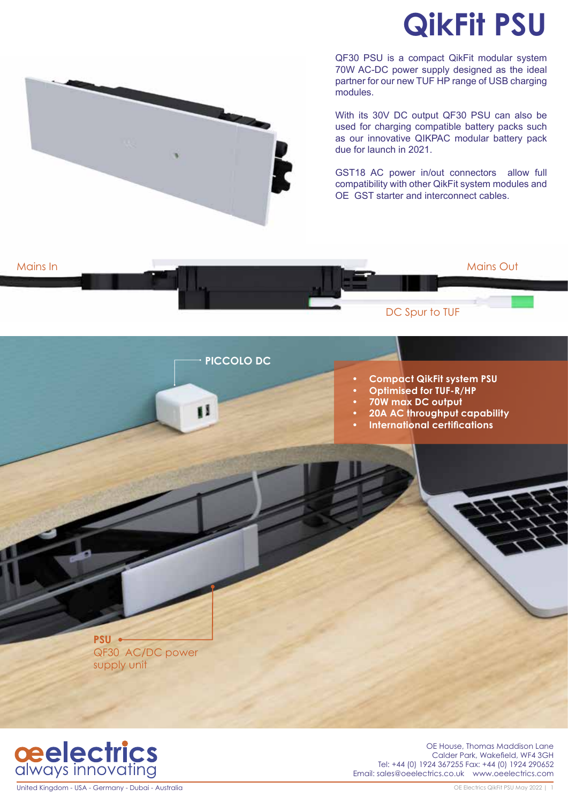# **QikFit PSU**



QF30 PSU is a compact QikFit modular system 70W AC-DC power supply designed as the ideal partner for our new TUF HP range of USB charging modules.

With its 30V DC output QF30 PSU can also be used for charging compatible battery packs such as our innovative QIKPAC modular battery pack due for launch in 2021.

GST18 AC power in/out connectors allow full compatibility with other QikFit system modules and OE GST starter and interconnect cables.



Mains In a comparative contract of the contract of the contract of the contract of the Mains Out



United Kingdom - USA - Germany - Dubai - Australia

OE House, Thomas Maddison Lane Calder Park, Wakefield, WF4 3GH Tel: +44 (0) 1924 367255 Fax: +44 (0) 1924 290652 Email: sales@oeelectrics.co.uk www.oeelectrics.com